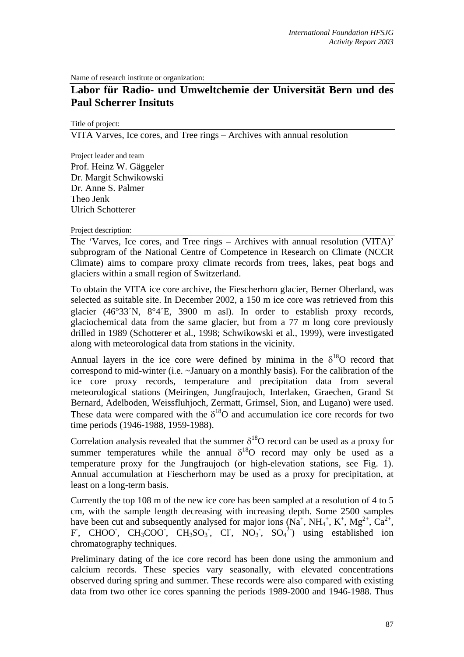Name of research institute or organization:

## **Labor für Radio- und Umweltchemie der Universität Bern und des Paul Scherrer Insituts**

Title of project:

VITA Varves, Ice cores, and Tree rings – Archives with annual resolution

Project leader and team Prof. Heinz W. Gäggeler Dr. Margit Schwikowski Dr. Anne S. Palmer Theo Jenk Ulrich Schotterer

Project description:

The 'Varves, Ice cores, and Tree rings – Archives with annual resolution (VITA)' subprogram of the National Centre of Competence in Research on Climate (NCCR Climate) aims to compare proxy climate records from trees, lakes, peat bogs and glaciers within a small region of Switzerland.

To obtain the VITA ice core archive, the Fiescherhorn glacier, Berner Oberland, was selected as suitable site. In December 2002, a 150 m ice core was retrieved from this glacier (46°33´N, 8°4´E, 3900 m asl). In order to establish proxy records, glaciochemical data from the same glacier, but from a 77 m long core previously drilled in 1989 (Schotterer et al., 1998; Schwikowski et al., 1999), were investigated along with meteorological data from stations in the vicinity.

Annual layers in the ice core were defined by minima in the  $\delta^{18}O$  record that correspond to mid-winter (i.e. ~January on a monthly basis). For the calibration of the ice core proxy records, temperature and precipitation data from several meteorological stations (Meiringen, Jungfraujoch, Interlaken, Graechen, Grand St Bernard, Adelboden, Weissfluhjoch, Zermatt, Grimsel, Sion, and Lugano) were used. These data were compared with the  $\delta^{18}$ O and accumulation ice core records for two time periods (1946-1988, 1959-1988).

Correlation analysis revealed that the summer  $\delta^{18}O$  record can be used as a proxy for summer temperatures while the annual  $\delta^{18}O$  record may only be used as a temperature proxy for the Jungfraujoch (or high-elevation stations, see Fig. 1). Annual accumulation at Fiescherhorn may be used as a proxy for precipitation, at least on a long-term basis.

Currently the top 108 m of the new ice core has been sampled at a resolution of 4 to 5 cm, with the sample length decreasing with increasing depth. Some 2500 samples have been cut and subsequently analysed for major ions ( $Na<sup>+</sup>$ ,  $NH<sub>4</sub><sup>+</sup>$ ,  $K<sup>+</sup>$ ,  $Mg<sup>2+</sup>$ ,  $Ca<sup>2+</sup>$ , F, CHOO, CH<sub>3</sub>COO, CH<sub>3</sub>SO<sub>3</sub>, Cl, NO<sub>3</sub>, SO<sub>4</sub><sup>2</sup>) using established ion chromatography techniques.

Preliminary dating of the ice core record has been done using the ammonium and calcium records. These species vary seasonally, with elevated concentrations observed during spring and summer. These records were also compared with existing data from two other ice cores spanning the periods 1989-2000 and 1946-1988. Thus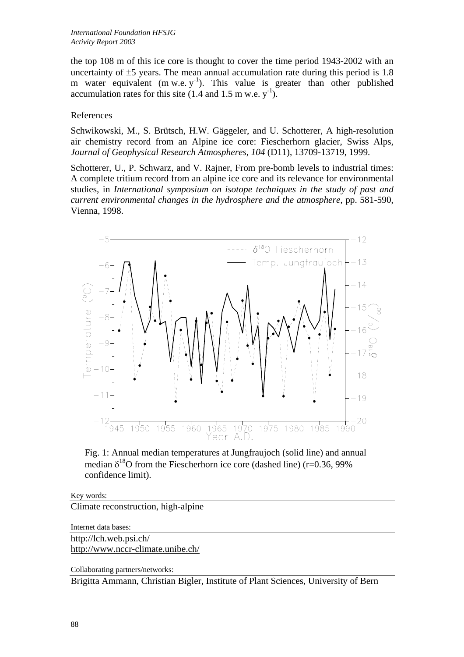the top 108 m of this ice core is thought to cover the time period 1943-2002 with an uncertainty of  $\pm$ 5 years. The mean annual accumulation rate during this period is 1.8 m water equivalent  $(m w.e. y<sup>-1</sup>)$ . This value is greater than other published accumulation rates for this site  $(1.4 \text{ and } 1.5 \text{ m w.e. y}^{-1})$ .

## References

Schwikowski, M., S. Brütsch, H.W. Gäggeler, and U. Schotterer, A high-resolution air chemistry record from an Alpine ice core: Fiescherhorn glacier, Swiss Alps, *Journal of Geophysical Research Atmospheres*, *104* (D11), 13709-13719, 1999.

Schotterer, U., P. Schwarz, and V. Rajner, From pre-bomb levels to industrial times: A complete tritium record from an alpine ice core and its relevance for environmental studies, in *International symposium on isotope techniques in the study of past and current environmental changes in the hydrosphere and the atmosphere*, pp. 581-590, Vienna, 1998.



Fig. 1: Annual median temperatures at Jungfraujoch (solid line) and annual median  $\delta^{18}$ O from the Fiescherhorn ice core (dashed line) (r=0.36, 99% confidence limit).

Key words: Climate reconstruction, high-alpine

Internet data bases:

http://lch.web.psi.ch/ <http://www.nccr-climate.unibe.ch/>

Collaborating partners/networks:

Brigitta Ammann, Christian Bigler, Institute of Plant Sciences, University of Bern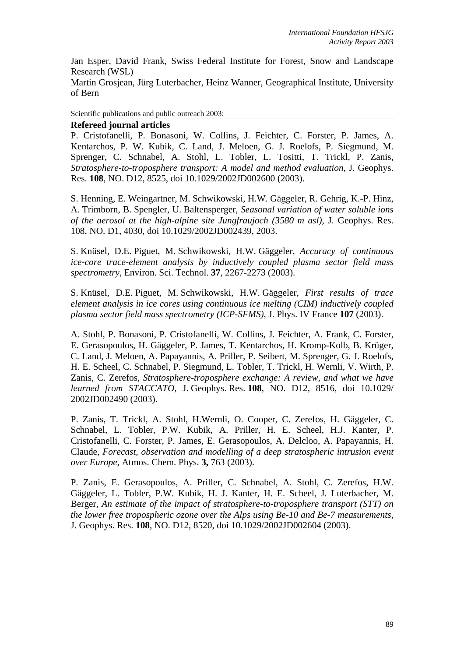Jan Esper, David Frank, Swiss Federal Institute for Forest, Snow and Landscape Research (WSL)

Martin Grosjean, Jürg Luterbacher, Heinz Wanner, Geographical Institute, University of Bern

Scientific publications and public outreach 2003:

## **Refereed journal articles**

P. Cristofanelli, P. Bonasoni, W. Collins, J. Feichter, C. Forster, P. James, A. Kentarchos, P. W. Kubik, C. Land, J. Meloen, G. J. Roelofs, P. Siegmund, M. Sprenger, C. Schnabel, A. Stohl, L. Tobler, L. Tositti, T. Trickl, P. Zanis, *Stratosphere-to-troposphere transport: A model and method evaluation,* J. Geophys. Res. **108**, NO. D12, 8525, doi 10.1029/2002JD002600 (2003).

S. Henning, E. Weingartner, M. Schwikowski, H.W. Gäggeler, R. Gehrig, K.-P. Hinz, A. Trimborn, B. Spengler, U. Baltensperger, *Seasonal variation of water soluble ions of the aerosol at the high-alpine site Jungfraujoch (3580 m asl)*, J. Geophys. Res. 108, NO. D1, 4030, doi 10.1029/2002JD002439, 2003.

S. Knüsel, D.E. Piguet, M. Schwikowski, H.W. Gäggeler, *Accuracy of continuous ice-core trace-element analysis by inductively coupled plasma sector field mass spectrometry*, Environ. Sci. Technol. **37**, 2267-2273 (2003).

S. Knüsel, D.E. Piguet, M. Schwikowski, H.W. Gäggeler, *First results of trace element analysis in ice cores using continuous ice melting (CIM) inductively coupled plasma sector field mass spectrometry (ICP-SFMS),* J. Phys. IV France **107** (2003).

A. Stohl, P. Bonasoni, P. Cristofanelli, W. Collins, J. Feichter, A. Frank, C. Forster, E. Gerasopoulos, H. Gäggeler, P. James, T. Kentarchos, H. Kromp-Kolb, B. Krüger, C. Land, J. Meloen, A. Papayannis, A. Priller, P. Seibert, M. Sprenger, G. J. Roelofs, H. E. Scheel, C. Schnabel, P. Siegmund, L. Tobler, T. Trickl, H. Wernli, V. Wirth, P. Zanis, C. Zerefos, *Stratosphere-troposphere exchange: A review, and what we have learned from STACCATO,* J. Geophys. Res. **108**, NO. D12, 8516, doi 10.1029/ 2002JD002490 (2003).

P. Zanis, T. Trickl, A. Stohl, H.Wernli, O. Cooper, C. Zerefos, H. Gäggeler, C. Schnabel, L. Tobler, P.W. Kubik, A. Priller, H. E. Scheel, H.J. Kanter, P. Cristofanelli, C. Forster, P. James, E. Gerasopoulos, A. Delcloo, A. Papayannis, H. Claude, *Forecast, observation and modelling of a deep stratospheric intrusion event over Europe,* Atmos. Chem. Phys. **3,** 763 (2003).

P. Zanis, E. Gerasopoulos, A. Priller, C. Schnabel, A. Stohl, C. Zerefos, H.W. Gäggeler, L. Tobler, P.W. Kubik, H. J. Kanter, H. E. Scheel, J. Luterbacher, M. Berger, *An estimate of the impact of stratosphere-to-troposphere transport (STT) on the lower free tropospheric ozone over the Alps using Be-10 and Be-7 measurements,*  J. Geophys. Res. **108**, NO. D12, 8520, doi 10.1029/2002JD002604 (2003).